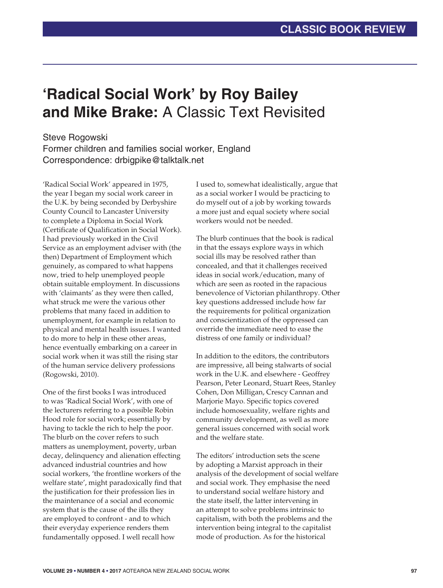## **'Radical Social Work' by Roy Bailey and Mike Brake:** A Classic Text Revisited

## Steve Rogowski

Former children and families social worker, England Correspondence: drbigpike@talktalk.net

'Radical Social Work' appeared in 1975, the year I began my social work career in the U.K. by being seconded by Derbyshire County Council to Lancaster University to complete a Diploma in Social Work (Certificate of Qualification in Social Work). I had previously worked in the Civil Service as an employment adviser with (the then) Department of Employment which genuinely, as compared to what happens now, tried to help unemployed people obtain suitable employment. In discussions with 'claimants' as they were then called, what struck me were the various other problems that many faced in addition to unemployment, for example in relation to physical and mental health issues. I wanted to do more to help in these other areas, hence eventually embarking on a career in social work when it was still the rising star of the human service delivery professions (Rogowski, 2010).

One of the first books I was introduced to was 'Radical Social Work', with one of the lecturers referring to a possible Robin Hood role for social work; essentially by having to tackle the rich to help the poor. The blurb on the cover refers to such matters as unemployment, poverty, urban decay, delinquency and alienation effecting advanced industrial countries and how social workers, 'the frontline workers of the welfare state', might paradoxically find that the justification for their profession lies in the maintenance of a social and economic system that is the cause of the ills they are employed to confront - and to which their everyday experience renders them fundamentally opposed. I well recall how

I used to, somewhat idealistically, argue that as a social worker I would be practicing to do myself out of a job by working towards a more just and equal society where social workers would not be needed.

The blurb continues that the book is radical in that the essays explore ways in which social ills may be resolved rather than concealed, and that it challenges received ideas in social work/education, many of which are seen as rooted in the rapacious benevolence of Victorian philanthropy. Other key questions addressed include how far the requirements for political organization and conscientization of the oppressed can override the immediate need to ease the distress of one family or individual?

In addition to the editors, the contributors are impressive, all being stalwarts of social work in the U.K. and elsewhere - Geoffrey Pearson, Peter Leonard, Stuart Rees, Stanley Cohen, Don Milligan, Crescy Cannan and Marjorie Mayo. Specific topics covered include homosexuality, welfare rights and community development, as well as more general issues concerned with social work and the welfare state.

The editors' introduction sets the scene by adopting a Marxist approach in their analysis of the development of social welfare and social work. They emphasise the need to understand social welfare history and the state itself, the latter intervening in an attempt to solve problems intrinsic to capitalism, with both the problems and the intervention being integral to the capitalist mode of production. As for the historical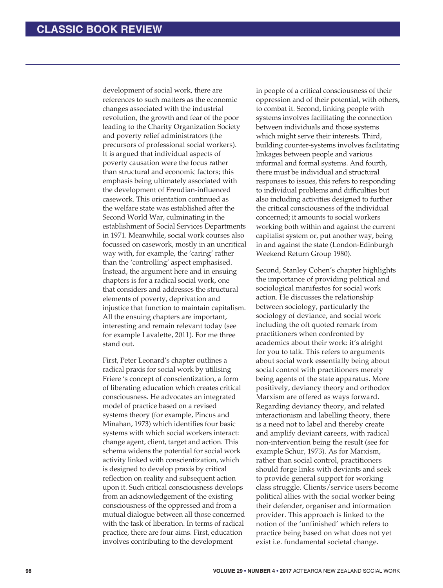development of social work, there are references to such matters as the economic changes associated with the industrial revolution, the growth and fear of the poor leading to the Charity Organization Society and poverty relief administrators (the precursors of professional social workers). It is argued that individual aspects of poverty causation were the focus rather than structural and economic factors; this emphasis being ultimately associated with the development of Freudian-influenced casework. This orientation continued as the welfare state was established after the Second World War, culminating in the establishment of Social Services Departments in 1971. Meanwhile, social work courses also focussed on casework, mostly in an uncritical way with, for example, the 'caring' rather than the 'controlling' aspect emphasised. Instead, the argument here and in ensuing chapters is for a radical social work, one that considers and addresses the structural elements of poverty, deprivation and injustice that function to maintain capitalism. All the ensuing chapters are important, interesting and remain relevant today (see for example Lavalette, 2011). For me three stand out.

First, Peter Leonard's chapter outlines a radical praxis for social work by utilising Friere 's concept of conscientization, a form of liberating education which creates critical consciousness. He advocates an integrated model of practice based on a revised systems theory (for example, Pincus and Minahan, 1973) which identifies four basic systems with which social workers interact: change agent, client, target and action. This schema widens the potential for social work activity linked with conscientization, which is designed to develop praxis by critical reflection on reality and subsequent action upon it. Such critical consciousness develops from an acknowledgement of the existing consciousness of the oppressed and from a mutual dialogue between all those concerned with the task of liberation. In terms of radical practice, there are four aims. First, education involves contributing to the development

in people of a critical consciousness of their oppression and of their potential, with others, to combat it. Second, linking people with systems involves facilitating the connection between individuals and those systems which might serve their interests. Third, building counter-systems involves facilitating linkages between people and various informal and formal systems. And fourth, there must be individual and structural responses to issues, this refers to responding to individual problems and difficulties but also including activities designed to further the critical consciousness of the individual concerned; it amounts to social workers working both within and against the current capitalist system or, put another way, being in and against the state (London-Edinburgh Weekend Return Group 1980).

Second, Stanley Cohen's chapter highlights the importance of providing political and sociological manifestos for social work action. He discusses the relationship between sociology, particularly the sociology of deviance, and social work including the oft quoted remark from practitioners when confronted by academics about their work: it's alright for you to talk. This refers to arguments about social work essentially being about social control with practitioners merely being agents of the state apparatus. More positively, deviancy theory and orthodox Marxism are offered as ways forward. Regarding deviancy theory, and related interactionism and labelling theory, there is a need not to label and thereby create and amplify deviant careers, with radical non-intervention being the result (see for example Schur, 1973). As for Marxism, rather than social control, practitioners should forge links with deviants and seek to provide general support for working class struggle. Clients/service users become political allies with the social worker being their defender, organiser and information provider. This approach is linked to the notion of the 'unfinished' which refers to practice being based on what does not yet exist i.e. fundamental societal change.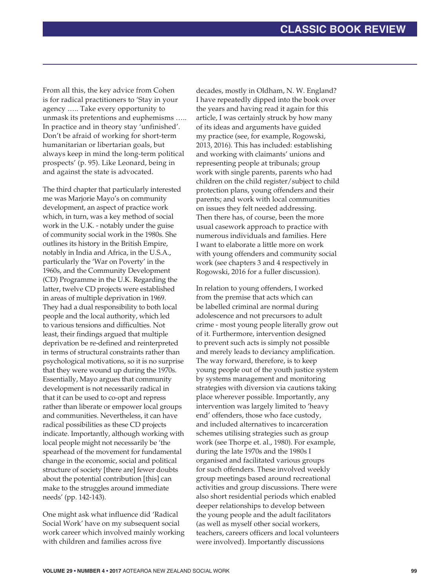From all this, the key advice from Cohen is for radical practitioners to 'Stay in your agency ….. Take every opportunity to unmask its pretentions and euphemisms ….. In practice and in theory stay 'unfinished'. Don't be afraid of working for short-term humanitarian or libertarian goals, but always keep in mind the long-term political prospects' (p. 95). Like Leonard, being in and against the state is advocated.

The third chapter that particularly interested me was Marjorie Mayo's on community development, an aspect of practice work which, in turn, was a key method of social work in the U.K. - notably under the guise of community social work in the 1980s. She outlines its history in the British Empire, notably in India and Africa, in the U.S.A., particularly the 'War on Poverty' in the 1960s, and the Community Development (CD) Programme in the U.K. Regarding the latter, twelve CD projects were established in areas of multiple deprivation in 1969. They had a dual responsibility to both local people and the local authority, which led to various tensions and difficulties. Not least, their findings argued that multiple deprivation be re-defined and reinterpreted in terms of structural constraints rather than psychological motivations, so it is no surprise that they were wound up during the 1970s. Essentially, Mayo argues that community development is not necessarily radical in that it can be used to co-opt and repress rather than liberate or empower local groups and communities. Nevertheless, it can have radical possibilities as these CD projects indicate. Importantly, although working with local people might not necessarily be 'the spearhead of the movement for fundamental change in the economic, social and political structure of society [there are] fewer doubts about the potential contribution [this] can make to the struggles around immediate needs' (pp. 142-143).

One might ask what influence did 'Radical Social Work' have on my subsequent social work career which involved mainly working with children and families across five

decades, mostly in Oldham, N. W. England? I have repeatedly dipped into the book over the years and having read it again for this article, I was certainly struck by how many of its ideas and arguments have guided my practice (see, for example, Rogowski, 2013, 2016). This has included: establishing and working with claimants' unions and representing people at tribunals; group work with single parents, parents who had children on the child register/subject to child protection plans, young offenders and their parents; and work with local communities on issues they felt needed addressing. Then there has, of course, been the more usual casework approach to practice with numerous individuals and families. Here I want to elaborate a little more on work with young offenders and community social work (see chapters 3 and 4 respectively in Rogowski, 2016 for a fuller discussion).

In relation to young offenders, I worked from the premise that acts which can be labelled criminal are normal during adolescence and not precursors to adult crime - most young people literally grow out of it. Furthermore, intervention designed to prevent such acts is simply not possible and merely leads to deviancy amplification. The way forward, therefore, is to keep young people out of the youth justice system by systems management and monitoring strategies with diversion via cautions taking place wherever possible. Importantly, any intervention was largely limited to 'heavy end' offenders, those who face custody, and included alternatives to incarceration schemes utilising strategies such as group work (see Thorpe et. al., 1980). For example, during the late 1970s and the 1980s I organised and facilitated various groups for such offenders. These involved weekly group meetings based around recreational activities and group discussions. There were also short residential periods which enabled deeper relationships to develop between the young people and the adult facilitators (as well as myself other social workers, teachers, careers officers and local volunteers were involved). Importantly discussions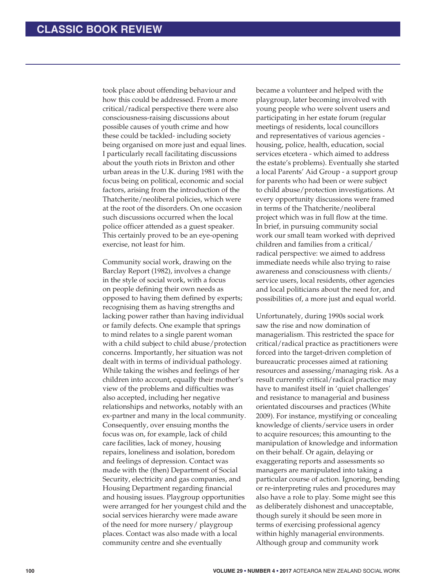took place about offending behaviour and how this could be addressed. From a more critical/radical perspective there were also consciousness-raising discussions about possible causes of youth crime and how these could be tackled- including society being organised on more just and equal lines. I particularly recall facilitating discussions about the youth riots in Brixton and other urban areas in the U.K. during 1981 with the focus being on political, economic and social factors, arising from the introduction of the Thatcherite/neoliberal policies, which were at the root of the disorders. On one occasion such discussions occurred when the local police officer attended as a guest speaker. This certainly proved to be an eye-opening exercise, not least for him.

Community social work, drawing on the Barclay Report (1982), involves a change in the style of social work, with a focus on people defining their own needs as opposed to having them defined by experts; recognising them as having strengths and lacking power rather than having individual or family defects. One example that springs to mind relates to a single parent woman with a child subject to child abuse/protection concerns. Importantly, her situation was not dealt with in terms of individual pathology. While taking the wishes and feelings of her children into account, equally their mother's view of the problems and difficulties was also accepted, including her negative relationships and networks, notably with an ex-partner and many in the local community. Consequently, over ensuing months the focus was on, for example, lack of child care facilities, lack of money, housing repairs, loneliness and isolation, boredom and feelings of depression. Contact was made with the (then) Department of Social Security, electricity and gas companies, and Housing Department regarding financial and housing issues. Playgroup opportunities were arranged for her youngest child and the social services hierarchy were made aware of the need for more nursery/ playgroup places. Contact was also made with a local community centre and she eventually

became a volunteer and helped with the playgroup, later becoming involved with young people who were solvent users and participating in her estate forum (regular meetings of residents, local councillors and representatives of various agencies housing, police, health, education, social services etcetera - which aimed to address the estate's problems). Eventually she started a local Parents' Aid Group - a support group for parents who had been or were subject to child abuse/protection investigations. At every opportunity discussions were framed in terms of the Thatcherite/neoliberal project which was in full flow at the time. In brief, in pursuing community social work our small team worked with deprived children and families from a critical/ radical perspective: we aimed to address immediate needs while also trying to raise awareness and consciousness with clients/ service users, local residents, other agencies and local politicians about the need for, and possibilities of, a more just and equal world.

Unfortunately, during 1990s social work saw the rise and now domination of managerialism. This restricted the space for critical/radical practice as practitioners were forced into the target-driven completion of bureaucratic processes aimed at rationing resources and assessing/managing risk. As a result currently critical/radical practice may have to manifest itself in 'quiet challenges' and resistance to managerial and business orientated discourses and practices (White 2009). For instance, mystifying or concealing knowledge of clients/service users in order to acquire resources; this amounting to the manipulation of knowledge and information on their behalf. Or again, delaying or exaggerating reports and assessments so managers are manipulated into taking a particular course of action. Ignoring, bending or re-interpreting rules and procedures may also have a role to play. Some might see this as deliberately dishonest and unacceptable, though surely it should be seen more in terms of exercising professional agency within highly managerial environments. Although group and community work